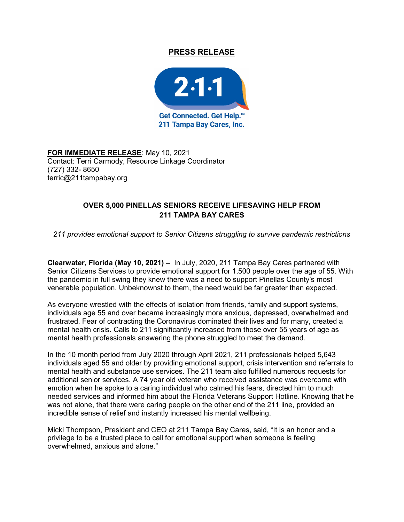## PRESS RELEASE



FOR IMMEDIATE RELEASE: May 10, 2021 Contact: Terri Carmody, Resource Linkage Coordinator (727) 332- 8650 terric@211tampabay.org

## OVER 5,000 PINELLAS SENIORS RECEIVE LIFESAVING HELP FROM 211 TAMPA BAY CARES

211 provides emotional support to Senior Citizens struggling to survive pandemic restrictions

Clearwater, Florida (May 10, 2021) – In July, 2020, 211 Tampa Bay Cares partnered with Senior Citizens Services to provide emotional support for 1,500 people over the age of 55. With the pandemic in full swing they knew there was a need to support Pinellas County's most venerable population. Unbeknownst to them, the need would be far greater than expected.

As everyone wrestled with the effects of isolation from friends, family and support systems, individuals age 55 and over became increasingly more anxious, depressed, overwhelmed and frustrated. Fear of contracting the Coronavirus dominated their lives and for many, created a mental health crisis. Calls to 211 significantly increased from those over 55 years of age as mental health professionals answering the phone struggled to meet the demand.

In the 10 month period from July 2020 through April 2021, 211 professionals helped 5,643 individuals aged 55 and older by providing emotional support, crisis intervention and referrals to mental health and substance use services. The 211 team also fulfilled numerous requests for additional senior services. A 74 year old veteran who received assistance was overcome with emotion when he spoke to a caring individual who calmed his fears, directed him to much needed services and informed him about the Florida Veterans Support Hotline. Knowing that he was not alone, that there were caring people on the other end of the 211 line, provided an incredible sense of relief and instantly increased his mental wellbeing.

Micki Thompson, President and CEO at 211 Tampa Bay Cares, said, "It is an honor and a privilege to be a trusted place to call for emotional support when someone is feeling overwhelmed, anxious and alone."